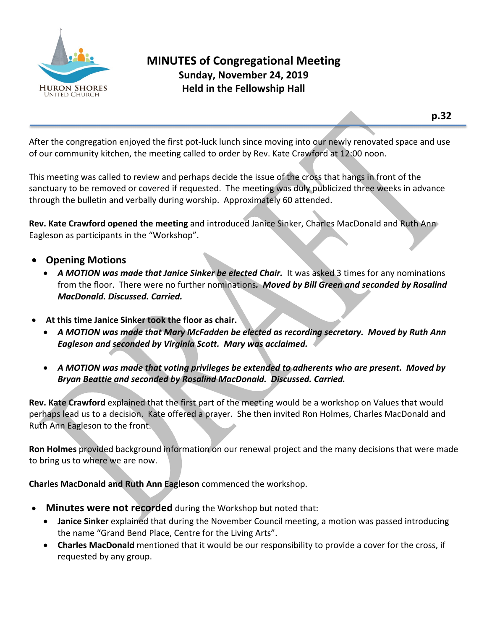

After the congregation enjoyed the first pot-luck lunch since moving into our newly renovated space and use of our community kitchen, the meeting called to order by Rev. Kate Crawford at 12:00 noon.

This meeting was called to review and perhaps decide the issue of the cross that hangs in front of the sanctuary to be removed or covered if requested. The meeting was duly publicized three weeks in advance through the bulletin and verbally during worship. Approximately 60 attended.

**Rev. Kate Crawford opened the meeting** and introduced Janice Sinker, Charles MacDonald and Ruth Ann Eagleson as participants in the "Workshop".

- **Opening Motions** 
	- *A MOTION was made that Janice Sinker be elected Chair.* It was asked 3 times for any nominations from the floor. There were no further nominations*. Moved by Bill Green and seconded by Rosalind MacDonald. Discussed. Carried.*
- **At this time Janice Sinker took the floor as chair.**
	- *A MOTION was made that Mary McFadden be elected as recording secretary. Moved by Ruth Ann Eagleson and seconded by Virginia Scott. Mary was acclaimed.*
	- *A MOTION was made that voting privileges be extended to adherents who are present. Moved by Bryan Beattie and seconded by Rosalind MacDonald. Discussed. Carried.*

**Rev. Kate Crawford** explained that the first part of the meeting would be a workshop on Values that would perhaps lead us to a decision. Kate offered a prayer. She then invited Ron Holmes, Charles MacDonald and Ruth Ann Eagleson to the front.

**Ron Holmes** provided background information on our renewal project and the many decisions that were made to bring us to where we are now.

**Charles MacDonald and Ruth Ann Eagleson** commenced the workshop.

- **Minutes were not recorded** during the Workshop but noted that:
	- **Janice Sinker** explained that during the November Council meeting, a motion was passed introducing the name "Grand Bend Place, Centre for the Living Arts".
	- **Charles MacDonald** mentioned that it would be our responsibility to provide a cover for the cross, if requested by any group.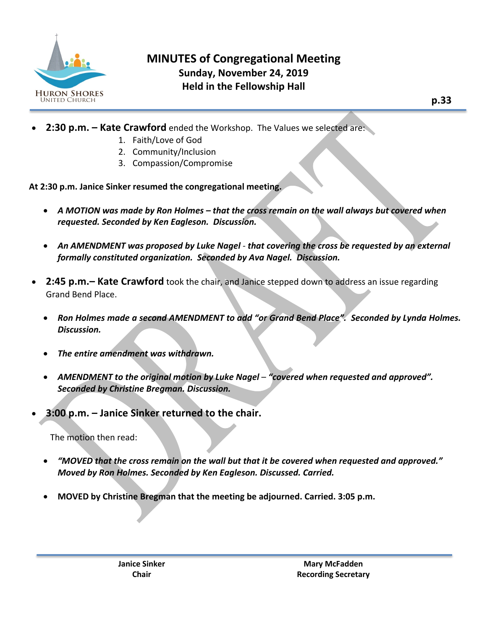

# **MINUTES of Congregational Meeting Sunday, November 24, 2019 Held in the Fellowship Hall**

- **2:30 p.m. – Kate Crawford** ended the Workshop. The Values we selected are:
	- 1. Faith/Love of God
	- 2. Community/Inclusion
	- 3. Compassion/Compromise

**At 2:30 p.m. Janice Sinker resumed the congregational meeting.**

- *A MOTION was made by Ron Holmes – that the cross remain on the wall always but covered when requested. Seconded by Ken Eagleson. Discussion.*
- *An AMENDMENT was proposed by Luke Nagel that covering the cross be requested by an external formally constituted organization. Seconded by Ava Nagel. Discussion.*
- **2:45 p.m.– Kate Crawford** took the chair, and Janice stepped down to address an issue regarding Grand Bend Place.
	- *Ron Holmes made a second AMENDMENT to add "or Grand Bend Place". Seconded by Lynda Holmes. Discussion.*
	- *The entire amendment was withdrawn.*
	- *AMENDMENT to the original motion by Luke Nagel "covered when requested and approved". Seconded by Christine Bregman. Discussion.*
- **3:00 p.m. – Janice Sinker returned to the chair.**

The motion then read:

- *"MOVED that the cross remain on the wall but that it be covered when requested and approved." Moved by Ron Holmes. Seconded by Ken Eagleson. Discussed. Carried.*
- **MOVED by Christine Bregman that the meeting be adjourned. Carried. 3:05 p.m.**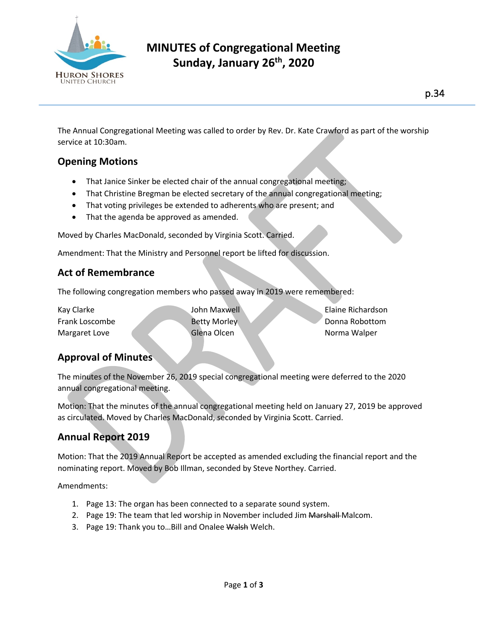

# **MINUTES of Congregational Meeting Sunday, January 26th , 2020**

The Annual Congregational Meeting was called to order by Rev. Dr. Kate Crawford as part of the worship service at 10:30am.

# **Opening Motions**

- That Janice Sinker be elected chair of the annual congregational meeting;
- That Christine Bregman be elected secretary of the annual congregational meeting;
- That voting privileges be extended to adherents who are present; and
- That the agenda be approved as amended.

Moved by Charles MacDonald, seconded by Virginia Scott. Carried.

Amendment: That the Ministry and Personnel report be lifted for discussion.

### **Act of Remembrance**

The following congregation members who passed away in 2019 were remembered:

| Kay Clarke     | John Maxwell        |  | Elaine Richardson |
|----------------|---------------------|--|-------------------|
| Frank Loscombe | <b>Betty Morley</b> |  | Donna Robottom    |
| Margaret Love  | Glena Olcen         |  | Norma Walper      |

## **Approval of Minutes**

The minutes of the November 26, 2019 special congregational meeting were deferred to the 2020 annual congregational meeting.

Motion: That the minutes of the annual congregational meeting held on January 27, 2019 be approved as circulated. Moved by Charles MacDonald, seconded by Virginia Scott. Carried.

## **Annual Report 2019**

Motion: That the 2019 Annual Report be accepted as amended excluding the financial report and the nominating report. Moved by Bob Illman, seconded by Steve Northey. Carried.

Amendments:

- 1. Page 13: The organ has been connected to a separate sound system.
- 2. Page 19: The team that led worship in November included Jim Marshall Malcom.
- 3. Page 19: Thank you to... Bill and Onalee Walsh Welch.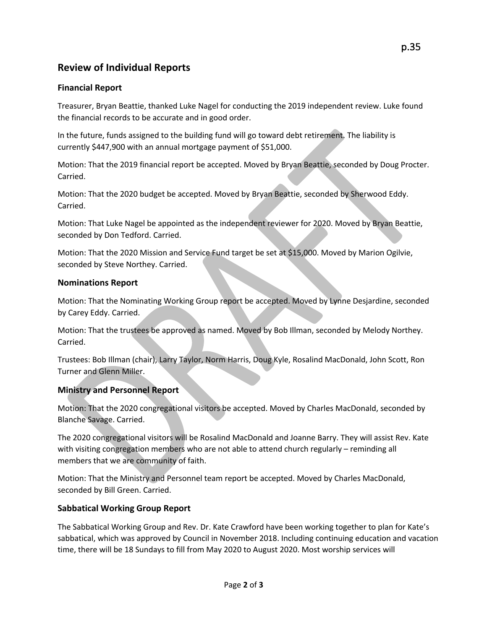## **Review of Individual Reports**

#### **Financial Report**

Treasurer, Bryan Beattie, thanked Luke Nagel for conducting the 2019 independent review. Luke found the financial records to be accurate and in good order.

In the future, funds assigned to the building fund will go toward debt retirement. The liability is currently \$447,900 with an annual mortgage payment of \$51,000.

Motion: That the 2019 financial report be accepted. Moved by Bryan Beattie, seconded by Doug Procter. Carried.

Motion: That the 2020 budget be accepted. Moved by Bryan Beattie, seconded by Sherwood Eddy. Carried.

Motion: That Luke Nagel be appointed as the independent reviewer for 2020. Moved by Bryan Beattie, seconded by Don Tedford. Carried.

Motion: That the 2020 Mission and Service Fund target be set at \$15,000. Moved by Marion Ogilvie, seconded by Steve Northey. Carried.

#### **Nominations Report**

Motion: That the Nominating Working Group report be accepted. Moved by Lynne Desjardine, seconded by Carey Eddy. Carried.

Motion: That the trustees be approved as named. Moved by Bob Illman, seconded by Melody Northey. Carried.

Trustees: Bob Illman (chair), Larry Taylor, Norm Harris, Doug Kyle, Rosalind MacDonald, John Scott, Ron Turner and Glenn Miller.

#### **Ministry and Personnel Report**

Motion: That the 2020 congregational visitors be accepted. Moved by Charles MacDonald, seconded by Blanche Savage. Carried.

The 2020 congregational visitors will be Rosalind MacDonald and Joanne Barry. They will assist Rev. Kate with visiting congregation members who are not able to attend church regularly – reminding all members that we are community of faith.

Motion: That the Ministry and Personnel team report be accepted. Moved by Charles MacDonald, seconded by Bill Green. Carried.

#### **Sabbatical Working Group Report**

The Sabbatical Working Group and Rev. Dr. Kate Crawford have been working together to plan for Kate's sabbatical, which was approved by Council in November 2018. Including continuing education and vacation time, there will be 18 Sundays to fill from May 2020 to August 2020. Most worship services will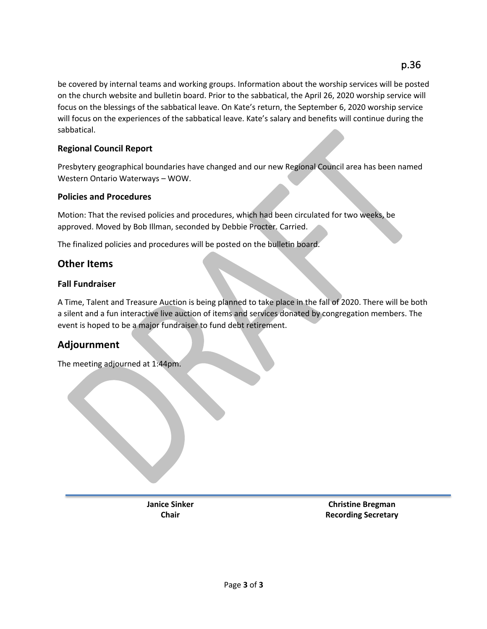be covered by internal teams and working groups. Information about the worship services will be posted on the church website and bulletin board. Prior to the sabbatical, the April 26, 2020 worship service will focus on the blessings of the sabbatical leave. On Kate's return, the September 6, 2020 worship service will focus on the experiences of the sabbatical leave. Kate's salary and benefits will continue during the sabbatical.

#### **Regional Council Report**

Presbytery geographical boundaries have changed and our new Regional Council area has been named Western Ontario Waterways – WOW.

#### **Policies and Procedures**

Motion: That the revised policies and procedures, which had been circulated for two weeks, be approved. Moved by Bob Illman, seconded by Debbie Procter. Carried.

The finalized policies and procedures will be posted on the bulletin board.

### **Other Items**

#### **Fall Fundraiser**

A Time, Talent and Treasure Auction is being planned to take place in the fall of 2020. There will be both a silent and a fun interactive live auction of items and services donated by congregation members. The event is hoped to be a major fundraiser to fund debt retirement.

### **Adjournment**

The meeting adjourned at 1:44pm.

**Janice Sinker Christine Bregman Chair Chair Recording Secretary**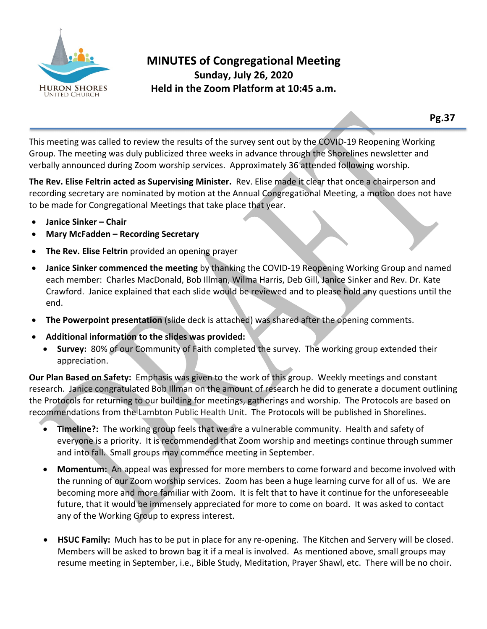

This meeting was called to review the results of the survey sent out by the COVID-19 Reopening Working Group. The meeting was duly publicized three weeks in advance through the Shorelines newsletter and verbally announced during Zoom worship services. Approximately 36 attended following worship.

**The Rev. Elise Feltrin acted as Supervising Minister.** Rev. Elise made it clear that once a chairperson and recording secretary are nominated by motion at the Annual Congregational Meeting, a motion does not have to be made for Congregational Meetings that take place that year.

- **Janice Sinker – Chair**
- **Mary McFadden – Recording Secretary**
- **The Rev. Elise Feltrin** provided an opening prayer
- **Janice Sinker commenced the meeting** by thanking the COVID-19 Reopening Working Group and named each member: Charles MacDonald, Bob Illman, Wilma Harris, Deb Gill, Janice Sinker and Rev. Dr. Kate Crawford. Janice explained that each slide would be reviewed and to please hold any questions until the end.
- **The Powerpoint presentation** (slide deck is attached) was shared after the opening comments.
- **Additional information to the slides was provided:**
	- **Survey:** 80% of our Community of Faith completed the survey. The working group extended their appreciation.

**Our Plan Based on Safety:** Emphasis was given to the work of this group. Weekly meetings and constant research. Janice congratulated Bob Illman on the amount of research he did to generate a document outlining the Protocols for returning to our building for meetings, gatherings and worship. The Protocols are based on recommendations from the Lambton Public Health Unit. The Protocols will be published in Shorelines.

- **Timeline?:** The working group feels that we are a vulnerable community. Health and safety of everyone is a priority. It is recommended that Zoom worship and meetings continue through summer and into fall. Small groups may commence meeting in September.
- **Momentum:** An appeal was expressed for more members to come forward and become involved with the running of our Zoom worship services. Zoom has been a huge learning curve for all of us. We are becoming more and more familiar with Zoom. It is felt that to have it continue for the unforeseeable future, that it would be immensely appreciated for more to come on board. It was asked to contact any of the Working Group to express interest.
- **HSUC Family:** Much has to be put in place for any re-opening. The Kitchen and Servery will be closed. Members will be asked to brown bag it if a meal is involved. As mentioned above, small groups may resume meeting in September, i.e., Bible Study, Meditation, Prayer Shawl, etc. There will be no choir.